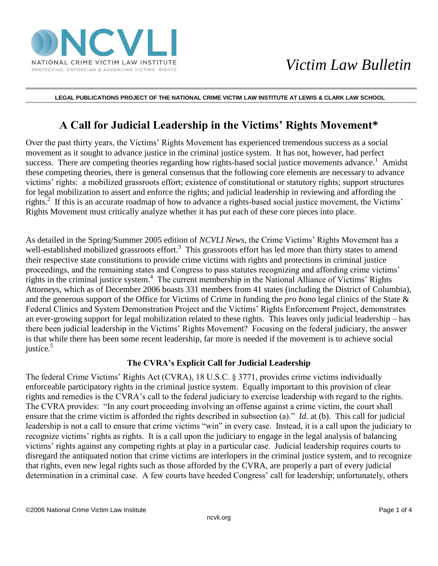

#### **LEGAL PUBLICATIONS PROJECT OF THE NATIONAL CRIME VICTIM LAW INSTITUTE AT LEWIS & CLARK LAW SCHOOL**

# **A Call for Judicial Leadership in the Victims' Rights Movement\***

Over the past thirty years, the Victims' Rights Movement has experienced tremendous success as a social movement as it sought to advance justice in the criminal justice system. It has not, however, had perfect success. There are competing theories regarding how rights-based social justice movements advance.<sup>1</sup> Amidst these competing theories, there is general consensus that the following core elements are necessary to advance victims' rights: a mobilized grassroots effort; existence of constitutional or statutory rights; support structures for legal mobilization to assert and enforce the rights; and judicial leadership in reviewing and affording the rights.<sup>2</sup> If this is an accurate roadmap of how to advance a rights-based social justice movement, the Victims' Rights Movement must critically analyze whether it has put each of these core pieces into place.

As detailed in the Spring/Summer 2005 edition of *NCVLI News*, the Crime Victims' Rights Movement has a well-established mobilized grassroots effort.<sup>3</sup> This grassroots effort has led more than thirty states to amend their respective state constitutions to provide crime victims with rights and protections in criminal justice proceedings, and the remaining states and Congress to pass statutes recognizing and affording crime victims' rights in the criminal justice system.<sup>4</sup> The current membership in the National Alliance of Victims' Rights Attorneys, which as of December 2006 boasts 331 members from 41 states (including the District of Columbia), and the generous support of the Office for Victims of Crime in funding the *pro bono* legal clinics of the State & Federal Clinics and System Demonstration Project and the Victims' Rights Enforcement Project, demonstrates an ever-growing support for legal mobilization related to these rights. This leaves only judicial leadership – has there been judicial leadership in the Victims' Rights Movement? Focusing on the federal judiciary, the answer is that while there has been some recent leadership, far more is needed if the movement is to achieve social justice.<sup>5</sup>

### **The CVRA's Explicit Call for Judicial Leadership**

The federal Crime Victims' Rights Act (CVRA), 18 U.S.C. § 3771, provides crime victims individually enforceable participatory rights in the criminal justice system. Equally important to this provision of clear rights and remedies is the CVRA's call to the federal judiciary to exercise leadership with regard to the rights. The CVRA provides: "In any court proceeding involving an offense against a crime victim, the court shall ensure that the crime victim is afforded the rights described in subsection (a)." *Id.* at (b). This call for judicial leadership is not a call to ensure that crime victims "win" in every case. Instead, it is a call upon the judiciary to recognize victims' rights as rights. It is a call upon the judiciary to engage in the legal analysis of balancing victims' rights against any competing rights at play in a particular case. Judicial leadership requires courts to disregard the antiquated notion that crime victims are interlopers in the criminal justice system, and to recognize that rights, even new legal rights such as those afforded by the CVRA, are properly a part of every judicial determination in a criminal case. A few courts have heeded Congress' call for leadership; unfortunately, others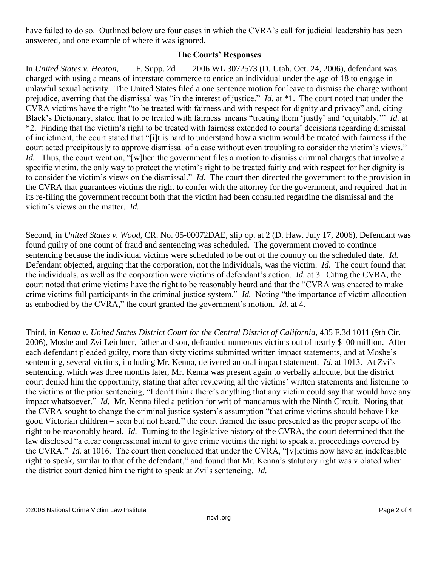have failed to do so. Outlined below are four cases in which the CVRA's call for judicial leadership has been answered, and one example of where it was ignored.

# **The Courts' Responses**

In *United States v. Heaton*, \_\_\_ F. Supp. 2d \_\_\_ 2006 WL 3072573 (D. Utah. Oct. 24, 2006), defendant was charged with using a means of interstate commerce to entice an individual under the age of 18 to engage in unlawful sexual activity. The United States filed a one sentence motion for leave to dismiss the charge without prejudice, averring that the dismissal was "in the interest of justice." *Id.* at \*1. The court noted that under the CVRA victims have the right "to be treated with fairness and with respect for dignity and privacy" and, citing Black's Dictionary, stated that to be treated with fairness means "treating them 'justly' and 'equitably.'" *Id.* at \*2. Finding that the victim's right to be treated with fairness extended to courts' decisions regarding dismissal of indictment, the court stated that "[i]t is hard to understand how a victim would be treated with fairness if the court acted precipitously to approve dismissal of a case without even troubling to consider the victim's views." *Id.* Thus, the court went on, "[w]hen the government files a motion to dismiss criminal charges that involve a specific victim, the only way to protect the victim's right to be treated fairly and with respect for her dignity is to consider the victim's views on the dismissal." *Id.* The court then directed the government to the provision in the CVRA that guarantees victims the right to confer with the attorney for the government, and required that in its re-filing the government recount both that the victim had been consulted regarding the dismissal and the victim's views on the matter. *Id.*

Second, in *United States v. Wood*, CR. No. 05-00072DAE, slip op. at 2 (D. Haw. July 17, 2006), Defendant was found guilty of one count of fraud and sentencing was scheduled. The government moved to continue sentencing because the individual victims were scheduled to be out of the country on the scheduled date. *Id.* Defendant objected, arguing that the corporation, not the individuals, was the victim. *Id.* The court found that the individuals, as well as the corporation were victims of defendant's action. *Id.* at 3. Citing the CVRA, the court noted that crime victims have the right to be reasonably heard and that the "CVRA was enacted to make crime victims full participants in the criminal justice system." *Id.* Noting "the importance of victim allocution as embodied by the CVRA," the court granted the government's motion. *Id.* at 4.

Third, in *Kenna v. United States District Court for the Central District of California*, 435 F.3d 1011 (9th Cir. 2006), Moshe and Zvi Leichner, father and son, defrauded numerous victims out of nearly \$100 million. After each defendant pleaded guilty, more than sixty victims submitted written impact statements, and at Moshe's sentencing, several victims, including Mr. Kenna, delivered an oral impact statement. *Id.* at 1013. At Zvi's sentencing, which was three months later, Mr. Kenna was present again to verbally allocute, but the district court denied him the opportunity, stating that after reviewing all the victims' written statements and listening to the victims at the prior sentencing, "I don't think there's anything that any victim could say that would have any impact whatsoever." *Id.* Mr. Kenna filed a petition for writ of mandamus with the Ninth Circuit. Noting that the CVRA sought to change the criminal justice system's assumption "that crime victims should behave like good Victorian children – seen but not heard," the court framed the issue presented as the proper scope of the right to be reasonably heard. *Id.* Turning to the legislative history of the CVRA, the court determined that the law disclosed "a clear congressional intent to give crime victims the right to speak at proceedings covered by the CVRA." *Id.* at 1016. The court then concluded that under the CVRA, "[v]ictims now have an indefeasible right to speak, similar to that of the defendant," and found that Mr. Kenna's statutory right was violated when the district court denied him the right to speak at Zvi's sentencing. *Id.*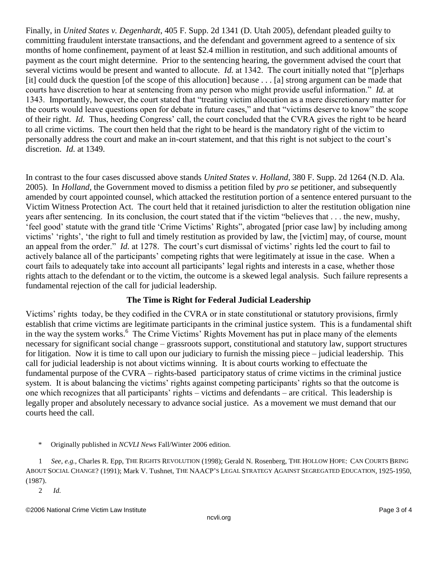Finally, in *United States v. Degenhardt*, 405 F. Supp. 2d 1341 (D. Utah 2005), defendant pleaded guilty to committing fraudulent interstate transactions, and the defendant and government agreed to a sentence of six months of home confinement, payment of at least \$2.4 million in restitution, and such additional amounts of payment as the court might determine. Prior to the sentencing hearing, the government advised the court that several victims would be present and wanted to allocute. *Id.* at 1342. The court initially noted that "[p]erhaps [it] could duck the question [of the scope of this allocution] because . . . [a] strong argument can be made that courts have discretion to hear at sentencing from any person who might provide useful information." *Id.* at 1343. Importantly, however, the court stated that "treating victim allocution as a mere discretionary matter for the courts would leave questions open for debate in future cases," and that "victims deserve to know" the scope of their right. *Id.* Thus, heeding Congress' call, the court concluded that the CVRA gives the right to be heard to all crime victims. The court then held that the right to be heard is the mandatory right of the victim to personally address the court and make an in-court statement, and that this right is not subject to the court's discretion. *Id.* at 1349.

In contrast to the four cases discussed above stands *United States v. Holland*, 380 F. Supp. 2d 1264 (N.D. Ala. 2005). In *Holland*, the Government moved to dismiss a petition filed by *pro se* petitioner, and subsequently amended by court appointed counsel, which attacked the restitution portion of a sentence entered pursuant to the Victim Witness Protection Act. The court held that it retained jurisdiction to alter the restitution obligation nine years after sentencing. In its conclusion, the court stated that if the victim "believes that . . . the new, mushy, 'feel good' statute with the grand title 'Crime Victims' Rights", abrogated [prior case law] by including among victims' 'rights', 'the right to full and timely restitution as provided by law, the [victim] may, of course, mount an appeal from the order." *Id.* at 1278. The court's curt dismissal of victims' rights led the court to fail to actively balance all of the participants' competing rights that were legitimately at issue in the case. When a court fails to adequately take into account all participants' legal rights and interests in a case, whether those rights attach to the defendant or to the victim, the outcome is a skewed legal analysis. Such failure represents a fundamental rejection of the call for judicial leadership.

# **The Time is Right for Federal Judicial Leadership**

Victims' rights today, be they codified in the CVRA or in state constitutional or statutory provisions, firmly establish that crime victims are legitimate participants in the criminal justice system. This is a fundamental shift in the way the system works.<sup>6</sup> The Crime Victims' Rights Movement has put in place many of the elements necessary for significant social change – grassroots support, constitutional and statutory law, support structures for litigation. Now it is time to call upon our judiciary to furnish the missing piece – judicial leadership. This call for judicial leadership is not about victims winning. It is about courts working to effectuate the fundamental purpose of the CVRA – rights-based participatory status of crime victims in the criminal justice system. It is about balancing the victims' rights against competing participants' rights so that the outcome is one which recognizes that all participants' rights – victims and defendants – are critical. This leadership is legally proper and absolutely necessary to advance social justice. As a movement we must demand that our courts heed the call.

\* Originally published in *NCVLI News* Fall/Winter 2006 edition.

1 *See, e.g.,* Charles R. Epp, THE RIGHTS REVOLUTION (1998); Gerald N. Rosenberg, THE HOLLOW HOPE: CAN COURTS BRING ABOUT SOCIAL CHANGE? (1991); Mark V. Tushnet, THE NAACP'S LEGAL STRATEGY AGAINST SEGREGATED EDUCATION, 1925-1950, (1987).

2 *Id.*